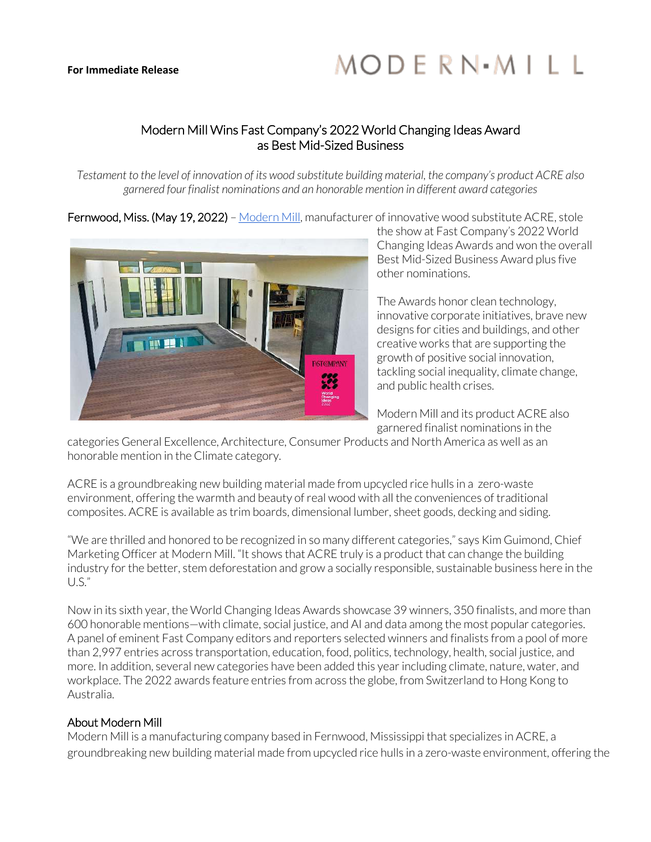## MODERN-MILL

## Modern Mill Wins Fast Company's 2022 World Changing Ideas Award as Best Mid-Sized Business

*Testament to the level of innovation of its wood substitute building material, the company's product ACRE also garnered four finalist nominations and an honorable mention in different award categories*

Fernwood, Miss. (May 19, 2022) – Modern Mill, manufacturer of innovative wood substitute ACRE, stole



the show at Fast Company's 2022 World Changing Ideas Awards and won the overall Best Mid-Sized Business Award plus five other nominations.

The Awards honor clean technology, innovative corporate initiatives, brave new designs for cities and buildings, and other creative works that are supporting the growth of positive social innovation, tackling social inequality, climate change, and public health crises.

Modern Mill and its product ACRE also garnered finalist nominations in the

categories General Excellence, Architecture, Consumer Products and North America as well as an honorable mention in the Climate category.

ACRE is a groundbreaking new building material made from upcycled rice hulls in a zero-waste environment, offering the warmth and beauty of real wood with all the conveniences of traditional composites. ACRE is available as trim boards, dimensional lumber, sheet goods, decking and siding.

"We are thrilled and honored to be recognized in so many different categories," says Kim Guimond, Chief Marketing Officer at Modern Mill. "It shows that ACRE truly is a product that can change the building industry for the better, stem deforestation and grow a socially responsible, sustainable business here in the  $U.S."$ 

Now in its sixth year, the World Changing Ideas Awards showcase 39 winners, 350 finalists, and more than 600 honorable mentions—with climate, social justice, and AI and data among the most popular categories. A panel of eminent Fast Company editors and reporters selected winners and finalists from a pool of more than 2,997 entries across transportation, education, food, politics, technology, health, social justice, and more. In addition, several new categories have been added this year including climate, nature, water, and workplace. The 2022 awards feature entries from across the globe, from Switzerland to Hong Kong to Australia.

## About Modern Mill

Modern Mill is a manufacturing company based in Fernwood, Mississippi that specializes in ACRE, a groundbreaking new building material made from upcycled rice hulls in a zero-waste environment, offering the